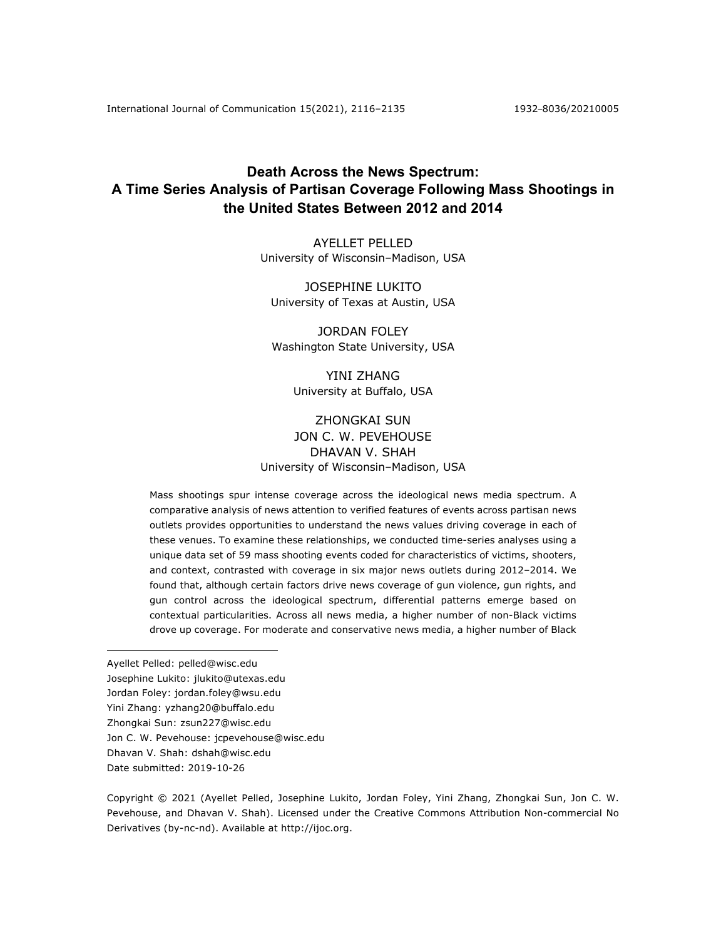# **Death Across the News Spectrum: A Time Series Analysis of Partisan Coverage Following Mass Shootings in the United States Between 2012 and 2014**

AYELLET PELLED University of Wisconsin–Madison, USA

JOSEPHINE LUKITO University of Texas at Austin, USA

JORDAN FOLEY Washington State University, USA

> YINI ZHANG University at Buffalo, USA

## ZHONGKAI SUN JON C. W. PEVEHOUSE DHAVAN V. SHAH University of Wisconsin–Madison, USA

Mass shootings spur intense coverage across the ideological news media spectrum. A comparative analysis of news attention to verified features of events across partisan news outlets provides opportunities to understand the news values driving coverage in each of these venues. To examine these relationships, we conducted time-series analyses using a unique data set of 59 mass shooting events coded for characteristics of victims, shooters, and context, contrasted with coverage in six major news outlets during 2012–2014. We found that, although certain factors drive news coverage of gun violence, gun rights, and gun control across the ideological spectrum, differential patterns emerge based on contextual particularities. Across all news media, a higher number of non-Black victims drove up coverage. For moderate and conservative news media, a higher number of Black

Ayellet Pelled: pelled@wisc.edu Josephine Lukito: jlukito@utexas.edu Jordan Foley: jordan.foley@wsu.edu Yini Zhang: yzhang20@buffalo.edu Zhongkai Sun: zsun227@wisc.edu Jon C. W. Pevehouse: jcpevehouse@wisc.edu Dhavan V. Shah: dshah@wisc.edu Date submitted: 2019-10-26

Copyright © 2021 (Ayellet Pelled, Josephine Lukito, Jordan Foley, Yini Zhang, Zhongkai Sun, Jon C. W. Pevehouse, and Dhavan V. Shah). Licensed under the Creative Commons Attribution Non-commercial No Derivatives (by-nc-nd). Available at http://ijoc.org.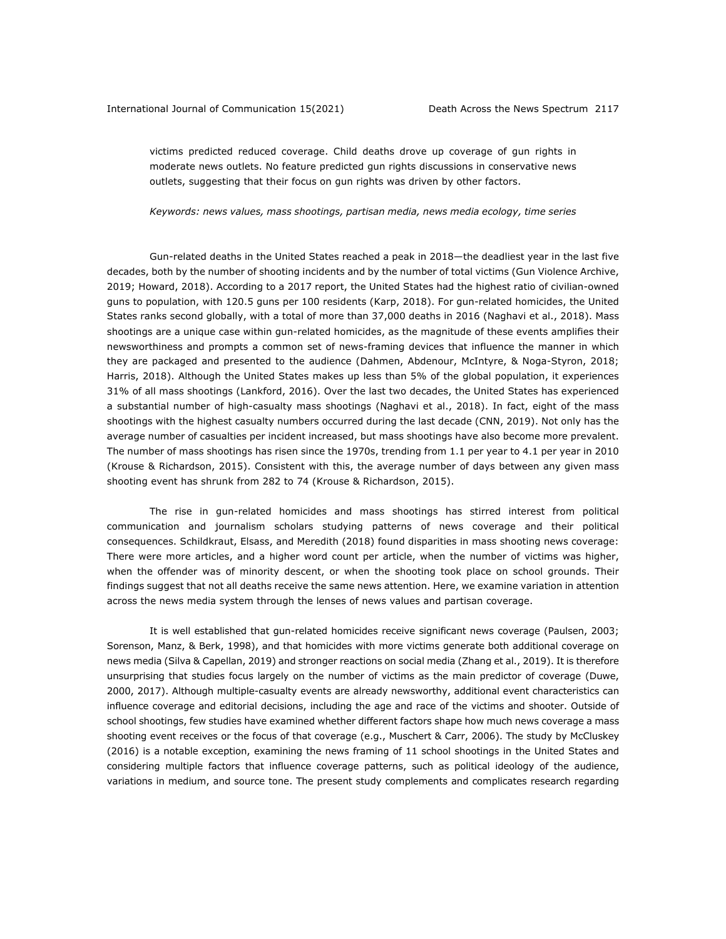victims predicted reduced coverage. Child deaths drove up coverage of gun rights in moderate news outlets. No feature predicted gun rights discussions in conservative news outlets, suggesting that their focus on gun rights was driven by other factors.

*Keywords: news values, mass shootings, partisan media, news media ecology, time series*

Gun-related deaths in the United States reached a peak in 2018—the deadliest year in the last five decades, both by the number of shooting incidents and by the number of total victims (Gun Violence Archive, 2019; Howard, 2018). According to a 2017 report, the United States had the highest ratio of civilian-owned guns to population, with 120.5 guns per 100 residents (Karp, 2018). For gun-related homicides, the United States ranks second globally, with a total of more than 37,000 deaths in 2016 (Naghavi et al., 2018). Mass shootings are a unique case within gun-related homicides, as the magnitude of these events amplifies their newsworthiness and prompts a common set of news-framing devices that influence the manner in which they are packaged and presented to the audience (Dahmen, Abdenour, McIntyre, & Noga-Styron, 2018; Harris, 2018). Although the United States makes up less than 5% of the global population, it experiences 31% of all mass shootings (Lankford, 2016). Over the last two decades, the United States has experienced a substantial number of high-casualty mass shootings (Naghavi et al., 2018). In fact, eight of the mass shootings with the highest casualty numbers occurred during the last decade (CNN, 2019). Not only has the average number of casualties per incident increased, but mass shootings have also become more prevalent. The number of mass shootings has risen since the 1970s, trending from 1.1 per year to 4.1 per year in 2010 (Krouse & Richardson, 2015). Consistent with this, the average number of days between any given mass shooting event has shrunk from 282 to 74 (Krouse & Richardson, 2015).

The rise in gun-related homicides and mass shootings has stirred interest from political communication and journalism scholars studying patterns of news coverage and their political consequences. Schildkraut, Elsass, and Meredith (2018) found disparities in mass shooting news coverage: There were more articles, and a higher word count per article, when the number of victims was higher, when the offender was of minority descent, or when the shooting took place on school grounds. Their findings suggest that not all deaths receive the same news attention. Here, we examine variation in attention across the news media system through the lenses of news values and partisan coverage.

It is well established that gun-related homicides receive significant news coverage (Paulsen, 2003; Sorenson, Manz, & Berk, 1998), and that homicides with more victims generate both additional coverage on news media (Silva & Capellan, 2019) and stronger reactions on social media (Zhang et al., 2019). It is therefore unsurprising that studies focus largely on the number of victims as the main predictor of coverage (Duwe, 2000, 2017). Although multiple-casualty events are already newsworthy, additional event characteristics can influence coverage and editorial decisions, including the age and race of the victims and shooter. Outside of school shootings, few studies have examined whether different factors shape how much news coverage a mass shooting event receives or the focus of that coverage (e.g., Muschert & Carr, 2006). The study by McCluskey (2016) is a notable exception, examining the news framing of 11 school shootings in the United States and considering multiple factors that influence coverage patterns, such as political ideology of the audience, variations in medium, and source tone. The present study complements and complicates research regarding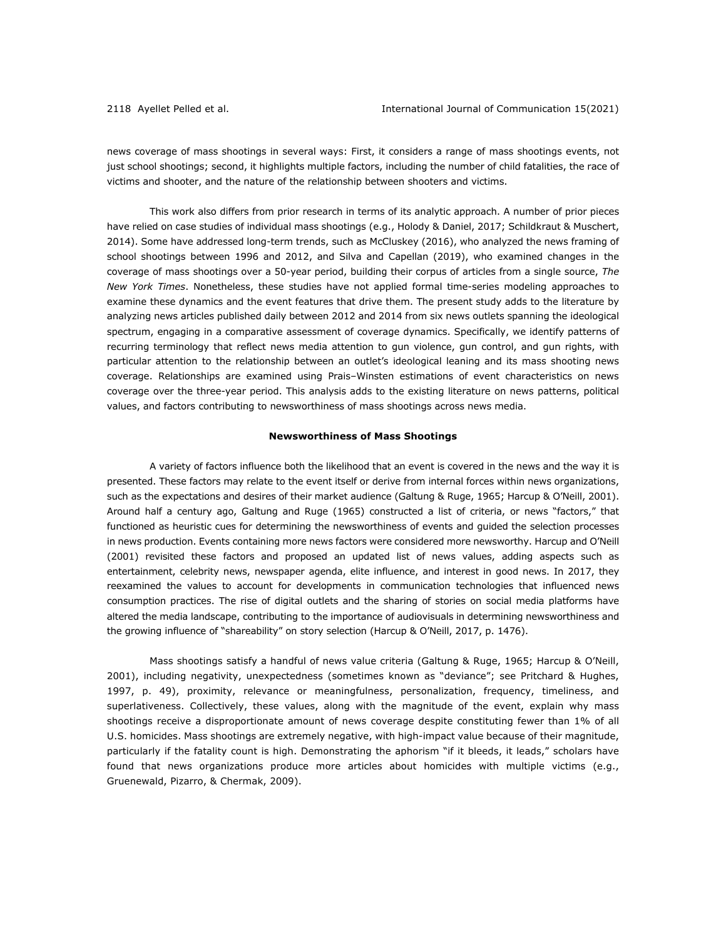news coverage of mass shootings in several ways: First, it considers a range of mass shootings events, not just school shootings; second, it highlights multiple factors, including the number of child fatalities, the race of victims and shooter, and the nature of the relationship between shooters and victims.

This work also differs from prior research in terms of its analytic approach. A number of prior pieces have relied on case studies of individual mass shootings (e.g., Holody & Daniel, 2017; Schildkraut & Muschert, 2014). Some have addressed long-term trends, such as McCluskey (2016), who analyzed the news framing of school shootings between 1996 and 2012, and Silva and Capellan (2019), who examined changes in the coverage of mass shootings over a 50-year period, building their corpus of articles from a single source, *The New York Times*. Nonetheless, these studies have not applied formal time-series modeling approaches to examine these dynamics and the event features that drive them. The present study adds to the literature by analyzing news articles published daily between 2012 and 2014 from six news outlets spanning the ideological spectrum, engaging in a comparative assessment of coverage dynamics. Specifically, we identify patterns of recurring terminology that reflect news media attention to gun violence, gun control, and gun rights, with particular attention to the relationship between an outlet's ideological leaning and its mass shooting news coverage. Relationships are examined using Prais–Winsten estimations of event characteristics on news coverage over the three-year period. This analysis adds to the existing literature on news patterns, political values, and factors contributing to newsworthiness of mass shootings across news media.

## **Newsworthiness of Mass Shootings**

A variety of factors influence both the likelihood that an event is covered in the news and the way it is presented. These factors may relate to the event itself or derive from internal forces within news organizations, such as the expectations and desires of their market audience (Galtung & Ruge, 1965; Harcup & O'Neill, 2001). Around half a century ago, Galtung and Ruge (1965) constructed a list of criteria, or news "factors," that functioned as heuristic cues for determining the newsworthiness of events and guided the selection processes in news production. Events containing more news factors were considered more newsworthy. Harcup and O'Neill (2001) revisited these factors and proposed an updated list of news values, adding aspects such as entertainment, celebrity news, newspaper agenda, elite influence, and interest in good news. In 2017, they reexamined the values to account for developments in communication technologies that influenced news consumption practices. The rise of digital outlets and the sharing of stories on social media platforms have altered the media landscape, contributing to the importance of audiovisuals in determining newsworthiness and the growing influence of "shareability" on story selection (Harcup & O'Neill, 2017, p. 1476).

Mass shootings satisfy a handful of news value criteria (Galtung & Ruge, 1965; Harcup & O'Neill, 2001), including negativity, unexpectedness (sometimes known as "deviance"; see Pritchard & Hughes, 1997, p. 49), proximity, relevance or meaningfulness, personalization, frequency, timeliness, and superlativeness. Collectively, these values, along with the magnitude of the event, explain why mass shootings receive a disproportionate amount of news coverage despite constituting fewer than 1% of all U.S. homicides. Mass shootings are extremely negative, with high-impact value because of their magnitude, particularly if the fatality count is high. Demonstrating the aphorism "if it bleeds, it leads," scholars have found that news organizations produce more articles about homicides with multiple victims (e.g., Gruenewald, Pizarro, & Chermak, 2009).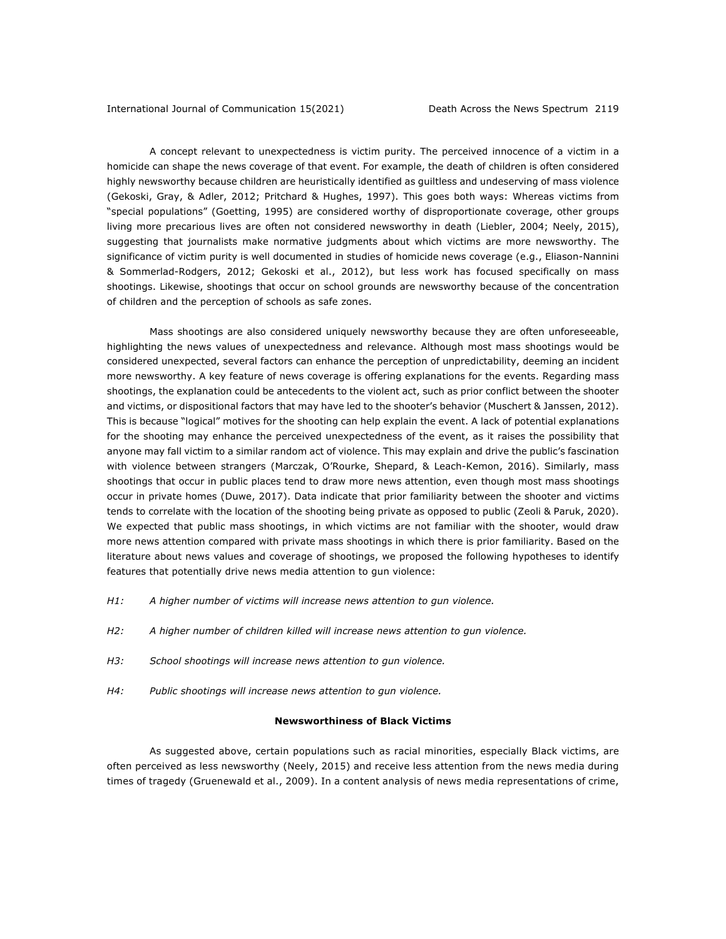## International Journal of Communication 15(2021) Death Across the News Spectrum 2119

A concept relevant to unexpectedness is victim purity. The perceived innocence of a victim in a homicide can shape the news coverage of that event. For example, the death of children is often considered highly newsworthy because children are heuristically identified as guiltless and undeserving of mass violence (Gekoski, Gray, & Adler, 2012; Pritchard & Hughes, 1997). This goes both ways: Whereas victims from "special populations" (Goetting, 1995) are considered worthy of disproportionate coverage, other groups living more precarious lives are often not considered newsworthy in death (Liebler, 2004; Neely, 2015), suggesting that journalists make normative judgments about which victims are more newsworthy. The significance of victim purity is well documented in studies of homicide news coverage (e.g., Eliason-Nannini & Sommerlad-Rodgers, 2012; Gekoski et al., 2012), but less work has focused specifically on mass shootings. Likewise, shootings that occur on school grounds are newsworthy because of the concentration of children and the perception of schools as safe zones.

Mass shootings are also considered uniquely newsworthy because they are often unforeseeable, highlighting the news values of unexpectedness and relevance. Although most mass shootings would be considered unexpected, several factors can enhance the perception of unpredictability, deeming an incident more newsworthy. A key feature of news coverage is offering explanations for the events. Regarding mass shootings, the explanation could be antecedents to the violent act, such as prior conflict between the shooter and victims, or dispositional factors that may have led to the shooter's behavior (Muschert & Janssen, 2012). This is because "logical" motives for the shooting can help explain the event. A lack of potential explanations for the shooting may enhance the perceived unexpectedness of the event, as it raises the possibility that anyone may fall victim to a similar random act of violence. This may explain and drive the public's fascination with violence between strangers (Marczak, O'Rourke, Shepard, & Leach-Kemon, 2016). Similarly, mass shootings that occur in public places tend to draw more news attention, even though most mass shootings occur in private homes (Duwe, 2017). Data indicate that prior familiarity between the shooter and victims tends to correlate with the location of the shooting being private as opposed to public (Zeoli & Paruk, 2020). We expected that public mass shootings, in which victims are not familiar with the shooter, would draw more news attention compared with private mass shootings in which there is prior familiarity. Based on the literature about news values and coverage of shootings, we proposed the following hypotheses to identify features that potentially drive news media attention to gun violence:

- *H1: A higher number of victims will increase news attention to gun violence.*
- *H2: A higher number of children killed will increase news attention to gun violence.*
- *H3: School shootings will increase news attention to gun violence.*
- *H4: Public shootings will increase news attention to gun violence.*

## **Newsworthiness of Black Victims**

As suggested above, certain populations such as racial minorities, especially Black victims, are often perceived as less newsworthy (Neely, 2015) and receive less attention from the news media during times of tragedy (Gruenewald et al., 2009). In a content analysis of news media representations of crime,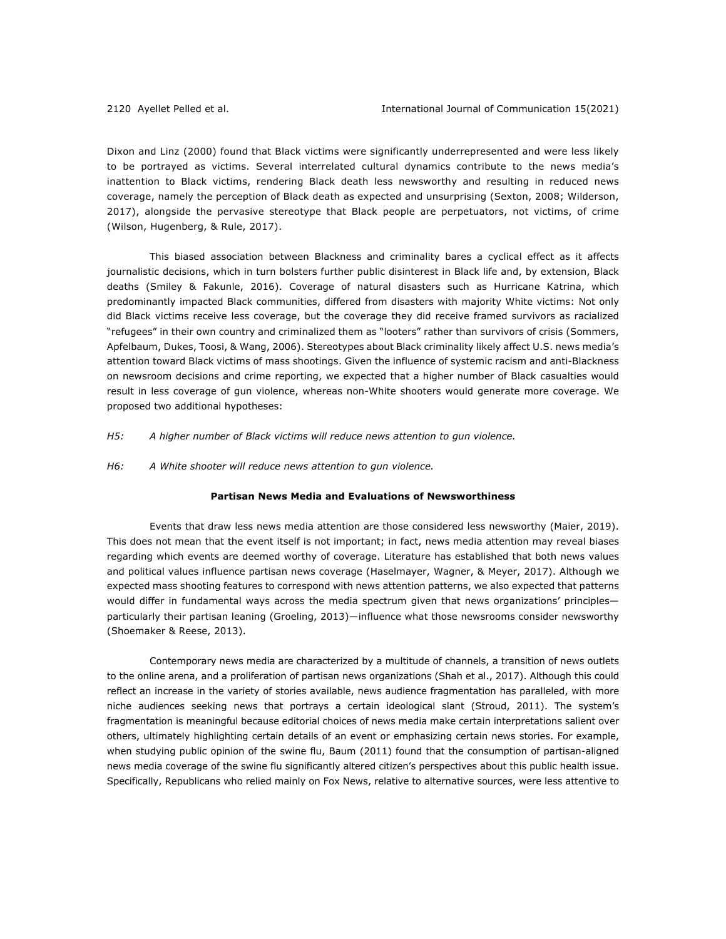Dixon and Linz (2000) found that Black victims were significantly underrepresented and were less likely to be portrayed as victims. Several interrelated cultural dynamics contribute to the news media's inattention to Black victims, rendering Black death less newsworthy and resulting in reduced news coverage, namely the perception of Black death as expected and unsurprising (Sexton, 2008; Wilderson, 2017), alongside the pervasive stereotype that Black people are perpetuators, not victims, of crime (Wilson, Hugenberg, & Rule, 2017).

This biased association between Blackness and criminality bares a cyclical effect as it affects journalistic decisions, which in turn bolsters further public disinterest in Black life and, by extension, Black deaths (Smiley & Fakunle, 2016). Coverage of natural disasters such as Hurricane Katrina, which predominantly impacted Black communities, differed from disasters with majority White victims: Not only did Black victims receive less coverage, but the coverage they did receive framed survivors as racialized "refugees" in their own country and criminalized them as "looters" rather than survivors of crisis (Sommers, Apfelbaum, Dukes, Toosi, & Wang, 2006). Stereotypes about Black criminality likely affect U.S. news media's attention toward Black victims of mass shootings. Given the influence of systemic racism and anti-Blackness on newsroom decisions and crime reporting, we expected that a higher number of Black casualties would result in less coverage of gun violence, whereas non-White shooters would generate more coverage. We proposed two additional hypotheses:

## *H5: A higher number of Black victims will reduce news attention to gun violence.*

*H6: A White shooter will reduce news attention to gun violence.*

## **Partisan News Media and Evaluations of Newsworthiness**

Events that draw less news media attention are those considered less newsworthy (Maier, 2019). This does not mean that the event itself is not important; in fact, news media attention may reveal biases regarding which events are deemed worthy of coverage. Literature has established that both news values and political values influence partisan news coverage (Haselmayer, Wagner, & Meyer, 2017). Although we expected mass shooting features to correspond with news attention patterns, we also expected that patterns would differ in fundamental ways across the media spectrum given that news organizations' principles particularly their partisan leaning (Groeling, 2013)—influence what those newsrooms consider newsworthy (Shoemaker & Reese, 2013).

Contemporary news media are characterized by a multitude of channels, a transition of news outlets to the online arena, and a proliferation of partisan news organizations (Shah et al., 2017). Although this could reflect an increase in the variety of stories available, news audience fragmentation has paralleled, with more niche audiences seeking news that portrays a certain ideological slant (Stroud, 2011). The system's fragmentation is meaningful because editorial choices of news media make certain interpretations salient over others, ultimately highlighting certain details of an event or emphasizing certain news stories. For example, when studying public opinion of the swine flu, Baum (2011) found that the consumption of partisan-aligned news media coverage of the swine flu significantly altered citizen's perspectives about this public health issue. Specifically, Republicans who relied mainly on Fox News, relative to alternative sources, were less attentive to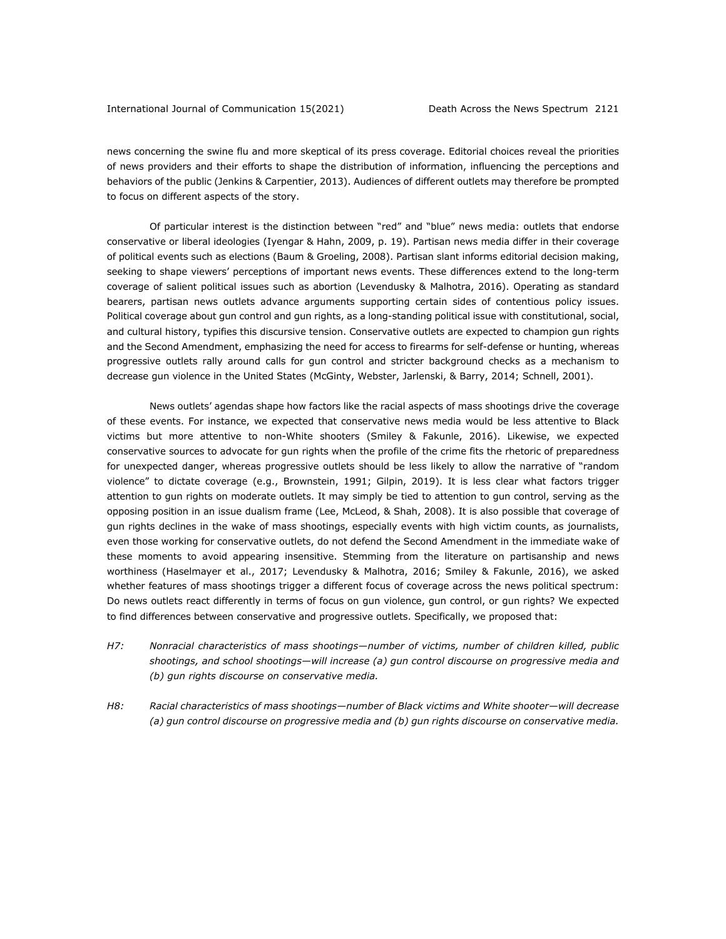news concerning the swine flu and more skeptical of its press coverage. Editorial choices reveal the priorities of news providers and their efforts to shape the distribution of information, influencing the perceptions and behaviors of the public (Jenkins & Carpentier, 2013). Audiences of different outlets may therefore be prompted to focus on different aspects of the story.

Of particular interest is the distinction between "red" and "blue" news media: outlets that endorse conservative or liberal ideologies (Iyengar & Hahn, 2009, p. 19). Partisan news media differ in their coverage of political events such as elections (Baum & Groeling, 2008). Partisan slant informs editorial decision making, seeking to shape viewers' perceptions of important news events. These differences extend to the long-term coverage of salient political issues such as abortion (Levendusky & Malhotra, 2016). Operating as standard bearers, partisan news outlets advance arguments supporting certain sides of contentious policy issues. Political coverage about gun control and gun rights, as a long-standing political issue with constitutional, social, and cultural history, typifies this discursive tension. Conservative outlets are expected to champion gun rights and the Second Amendment, emphasizing the need for access to firearms for self-defense or hunting, whereas progressive outlets rally around calls for gun control and stricter background checks as a mechanism to decrease gun violence in the United States (McGinty, Webster, Jarlenski, & Barry, 2014; Schnell, 2001).

News outlets' agendas shape how factors like the racial aspects of mass shootings drive the coverage of these events. For instance, we expected that conservative news media would be less attentive to Black victims but more attentive to non-White shooters (Smiley & Fakunle, 2016). Likewise, we expected conservative sources to advocate for gun rights when the profile of the crime fits the rhetoric of preparedness for unexpected danger, whereas progressive outlets should be less likely to allow the narrative of "random violence" to dictate coverage (e.g., Brownstein, 1991; Gilpin, 2019). It is less clear what factors trigger attention to gun rights on moderate outlets. It may simply be tied to attention to gun control, serving as the opposing position in an issue dualism frame (Lee, McLeod, & Shah, 2008). It is also possible that coverage of gun rights declines in the wake of mass shootings, especially events with high victim counts, as journalists, even those working for conservative outlets, do not defend the Second Amendment in the immediate wake of these moments to avoid appearing insensitive. Stemming from the literature on partisanship and news worthiness (Haselmayer et al., 2017; Levendusky & Malhotra, 2016; Smiley & Fakunle, 2016), we asked whether features of mass shootings trigger a different focus of coverage across the news political spectrum: Do news outlets react differently in terms of focus on gun violence, gun control, or gun rights? We expected to find differences between conservative and progressive outlets. Specifically, we proposed that:

- *H7: Nonracial characteristics of mass shootings—number of victims, number of children killed, public shootings, and school shootings—will increase (a) gun control discourse on progressive media and (b) gun rights discourse on conservative media.*
- *H8: Racial characteristics of mass shootings—number of Black victims and White shooter—will decrease (a) gun control discourse on progressive media and (b) gun rights discourse on conservative media.*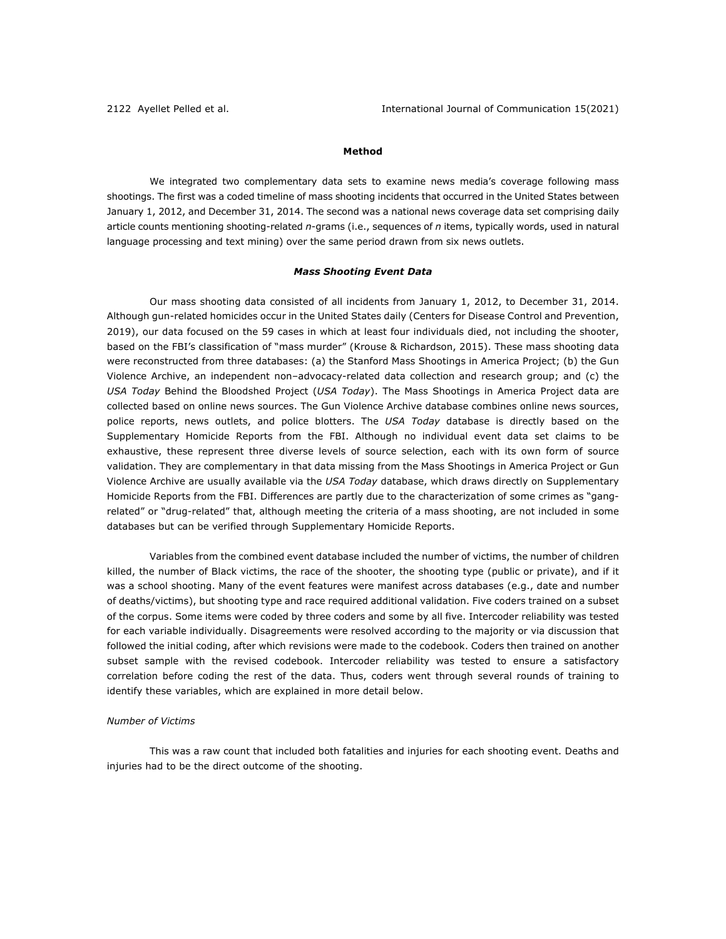## **Method**

We integrated two complementary data sets to examine news media's coverage following mass shootings. The first was a coded timeline of mass shooting incidents that occurred in the United States between January 1, 2012, and December 31, 2014. The second was a national news coverage data set comprising daily article counts mentioning shooting-related *n*-grams (i.e., sequences of *n* items, typically words, used in natural language processing and text mining) over the same period drawn from six news outlets.

## *Mass Shooting Event Data*

Our mass shooting data consisted of all incidents from January 1, 2012, to December 31, 2014. Although gun-related homicides occur in the United States daily (Centers for Disease Control and Prevention, 2019), our data focused on the 59 cases in which at least four individuals died, not including the shooter, based on the FBI's classification of "mass murder" (Krouse & Richardson, 2015). These mass shooting data were reconstructed from three databases: (a) the Stanford Mass Shootings in America Project; (b) the Gun Violence Archive, an independent non–advocacy-related data collection and research group; and (c) the *USA Today* Behind the Bloodshed Project (*USA Today*). The Mass Shootings in America Project data are collected based on online news sources. The Gun Violence Archive database combines online news sources, police reports, news outlets, and police blotters. The *USA Today* database is directly based on the Supplementary Homicide Reports from the FBI. Although no individual event data set claims to be exhaustive, these represent three diverse levels of source selection, each with its own form of source validation. They are complementary in that data missing from the Mass Shootings in America Project or Gun Violence Archive are usually available via the *USA Today* database, which draws directly on Supplementary Homicide Reports from the FBI. Differences are partly due to the characterization of some crimes as "gangrelated" or "drug-related" that, although meeting the criteria of a mass shooting, are not included in some databases but can be verified through Supplementary Homicide Reports.

Variables from the combined event database included the number of victims, the number of children killed, the number of Black victims, the race of the shooter, the shooting type (public or private), and if it was a school shooting. Many of the event features were manifest across databases (e.g., date and number of deaths/victims), but shooting type and race required additional validation. Five coders trained on a subset of the corpus. Some items were coded by three coders and some by all five. Intercoder reliability was tested for each variable individually. Disagreements were resolved according to the majority or via discussion that followed the initial coding, after which revisions were made to the codebook. Coders then trained on another subset sample with the revised codebook. Intercoder reliability was tested to ensure a satisfactory correlation before coding the rest of the data. Thus, coders went through several rounds of training to identify these variables, which are explained in more detail below.

## *Number of Victims*

This was a raw count that included both fatalities and injuries for each shooting event. Deaths and injuries had to be the direct outcome of the shooting.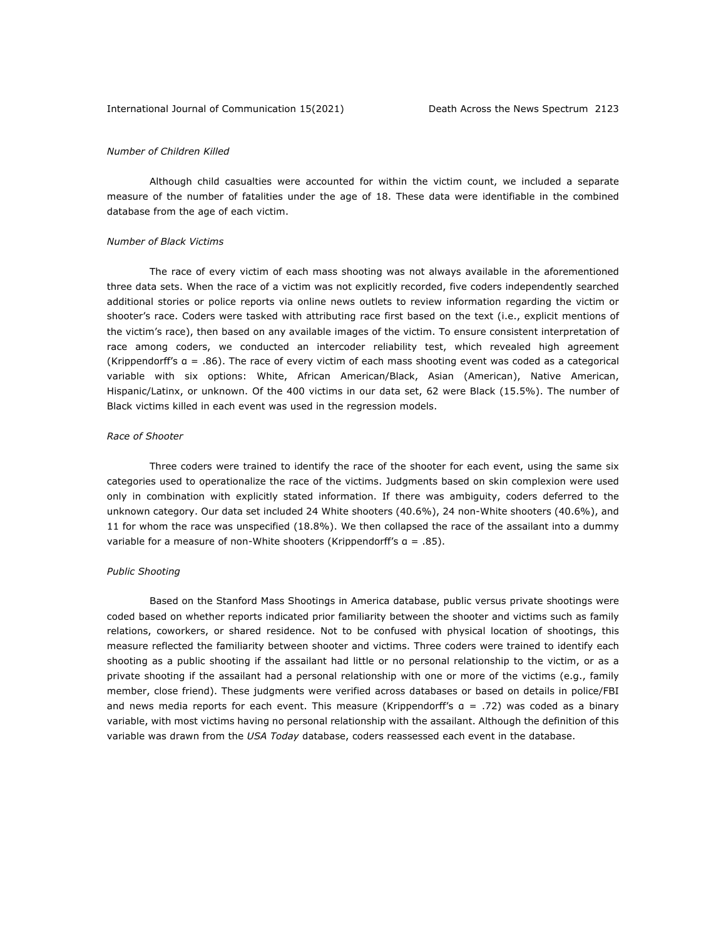## *Number of Children Killed*

Although child casualties were accounted for within the victim count, we included a separate measure of the number of fatalities under the age of 18. These data were identifiable in the combined database from the age of each victim.

## *Number of Black Victims*

The race of every victim of each mass shooting was not always available in the aforementioned three data sets. When the race of a victim was not explicitly recorded, five coders independently searched additional stories or police reports via online news outlets to review information regarding the victim or shooter's race. Coders were tasked with attributing race first based on the text (i.e., explicit mentions of the victim's race), then based on any available images of the victim. To ensure consistent interpretation of race among coders, we conducted an intercoder reliability test, which revealed high agreement (Krippendorff's α = .86). The race of every victim of each mass shooting event was coded as a categorical variable with six options: White, African American/Black, Asian (American), Native American, Hispanic/Latinx, or unknown. Of the 400 victims in our data set, 62 were Black (15.5%). The number of Black victims killed in each event was used in the regression models.

## *Race of Shooter*

Three coders were trained to identify the race of the shooter for each event, using the same six categories used to operationalize the race of the victims. Judgments based on skin complexion were used only in combination with explicitly stated information. If there was ambiguity, coders deferred to the unknown category. Our data set included 24 White shooters (40.6%), 24 non-White shooters (40.6%), and 11 for whom the race was unspecified (18.8%). We then collapsed the race of the assailant into a dummy variable for a measure of non-White shooters (Krippendorff's  $a = .85$ ).

#### *Public Shooting*

Based on the Stanford Mass Shootings in America database, public versus private shootings were coded based on whether reports indicated prior familiarity between the shooter and victims such as family relations, coworkers, or shared residence. Not to be confused with physical location of shootings, this measure reflected the familiarity between shooter and victims. Three coders were trained to identify each shooting as a public shooting if the assailant had little or no personal relationship to the victim, or as a private shooting if the assailant had a personal relationship with one or more of the victims (e.g., family member, close friend). These judgments were verified across databases or based on details in police/FBI and news media reports for each event. This measure (Krippendorff's α = .72) was coded as a binary variable, with most victims having no personal relationship with the assailant. Although the definition of this variable was drawn from the *USA Today* database, coders reassessed each event in the database.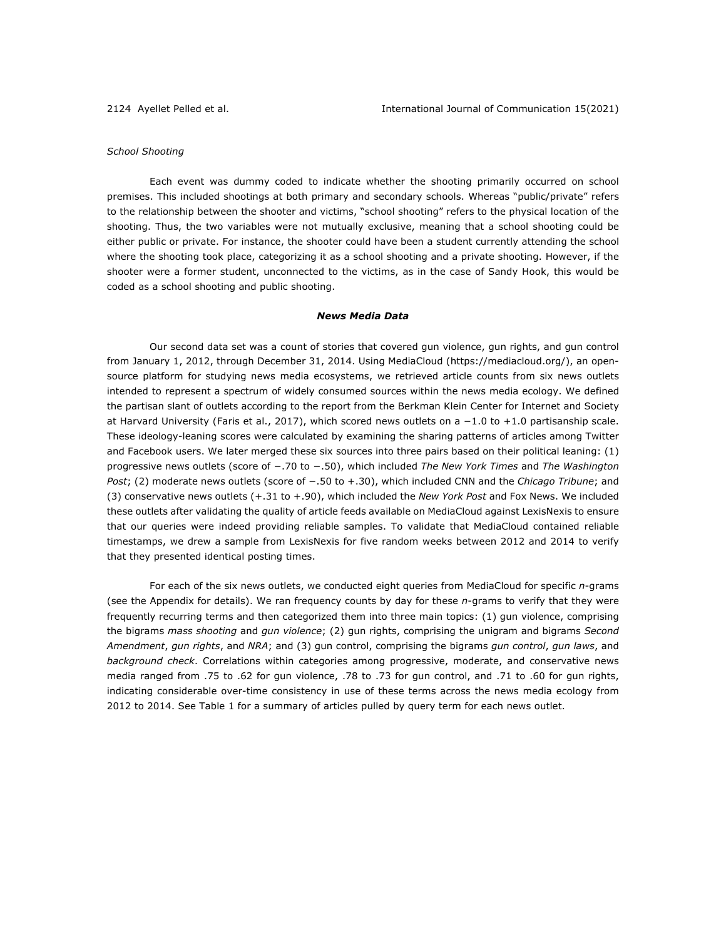## *School Shooting*

Each event was dummy coded to indicate whether the shooting primarily occurred on school premises. This included shootings at both primary and secondary schools. Whereas "public/private" refers to the relationship between the shooter and victims, "school shooting" refers to the physical location of the shooting. Thus, the two variables were not mutually exclusive, meaning that a school shooting could be either public or private. For instance, the shooter could have been a student currently attending the school where the shooting took place, categorizing it as a school shooting and a private shooting. However, if the shooter were a former student, unconnected to the victims, as in the case of Sandy Hook, this would be coded as a school shooting and public shooting.

## *News Media Data*

Our second data set was a count of stories that covered gun violence, gun rights, and gun control from January 1, 2012, through December 31, 2014. Using MediaCloud (https://mediacloud.org/), an opensource platform for studying news media ecosystems, we retrieved article counts from six news outlets intended to represent a spectrum of widely consumed sources within the news media ecology. We defined the partisan slant of outlets according to the report from the Berkman Klein Center for Internet and Society at Harvard University (Faris et al., 2017), which scored news outlets on a −1.0 to +1.0 partisanship scale. These ideology-leaning scores were calculated by examining the sharing patterns of articles among Twitter and Facebook users. We later merged these six sources into three pairs based on their political leaning: (1) progressive news outlets (score of −.70 to −.50), which included *The New York Times* and *The Washington Post*; (2) moderate news outlets (score of −.50 to +.30), which included CNN and the *Chicago Tribune*; and (3) conservative news outlets (+.31 to +.90), which included the *New York Post* and Fox News. We included these outlets after validating the quality of article feeds available on MediaCloud against LexisNexis to ensure that our queries were indeed providing reliable samples. To validate that MediaCloud contained reliable timestamps, we drew a sample from LexisNexis for five random weeks between 2012 and 2014 to verify that they presented identical posting times.

For each of the six news outlets, we conducted eight queries from MediaCloud for specific *n*-grams (see the Appendix for details). We ran frequency counts by day for these *n*-grams to verify that they were frequently recurring terms and then categorized them into three main topics: (1) gun violence, comprising the bigrams *mass shooting* and *gun violence*; (2) gun rights, comprising the unigram and bigrams *Second Amendment*, *gun rights*, and *NRA*; and (3) gun control, comprising the bigrams *gun control*, *gun laws*, and *background check*. Correlations within categories among progressive, moderate, and conservative news media ranged from .75 to .62 for gun violence, .78 to .73 for gun control, and .71 to .60 for gun rights, indicating considerable over-time consistency in use of these terms across the news media ecology from 2012 to 2014. See Table 1 for a summary of articles pulled by query term for each news outlet.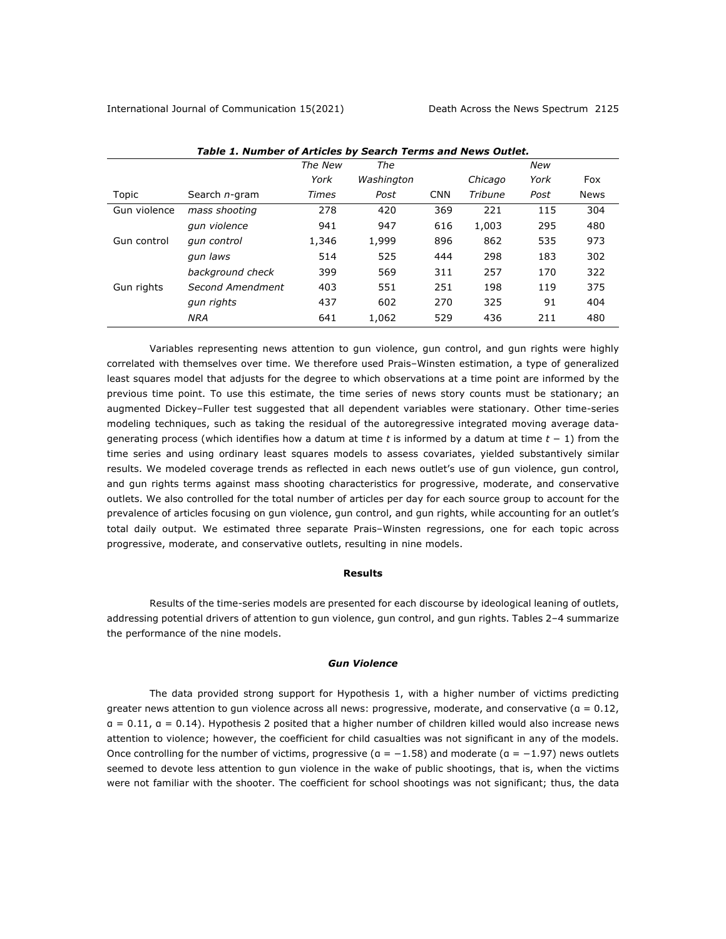|              |                  | The New | The        |            |                | New  |             |
|--------------|------------------|---------|------------|------------|----------------|------|-------------|
|              |                  | York    | Washington |            | Chicago        | York | Fox         |
| Topic        | Search n-gram    | Times   | Post       | <b>CNN</b> | <b>Tribune</b> | Post | <b>News</b> |
| Gun violence | mass shooting    | 278     | 420        | 369        | 221            | 115  | 304         |
|              | qun violence     | 941     | 947        | 616        | 1,003          | 295  | 480         |
| Gun control  | qun control      | 1,346   | 1,999      | 896        | 862            | 535  | 973         |
|              | aun laws         | 514     | 525        | 444        | 298            | 183  | 302         |
|              | background check | 399     | 569        | 311        | 257            | 170  | 322         |
| Gun rights   | Second Amendment | 403     | 551        | 251        | 198            | 119  | 375         |
|              | gun rights       | 437     | 602        | 270        | 325            | 91   | 404         |
|              | <b>NRA</b>       | 641     | 1,062      | 529        | 436            | 211  | 480         |

*Table 1. Number of Articles by Search Terms and News Outlet.*

Variables representing news attention to gun violence, gun control, and gun rights were highly correlated with themselves over time. We therefore used Prais–Winsten estimation, a type of generalized least squares model that adjusts for the degree to which observations at a time point are informed by the previous time point. To use this estimate, the time series of news story counts must be stationary; an augmented Dickey–Fuller test suggested that all dependent variables were stationary. Other time-series modeling techniques, such as taking the residual of the autoregressive integrated moving average datagenerating process (which identifies how a datum at time *t* is informed by a datum at time *t* − 1) from the time series and using ordinary least squares models to assess covariates, yielded substantively similar results. We modeled coverage trends as reflected in each news outlet's use of gun violence, gun control, and gun rights terms against mass shooting characteristics for progressive, moderate, and conservative outlets. We also controlled for the total number of articles per day for each source group to account for the prevalence of articles focusing on gun violence, gun control, and gun rights, while accounting for an outlet's total daily output. We estimated three separate Prais–Winsten regressions, one for each topic across progressive, moderate, and conservative outlets, resulting in nine models.

## **Results**

Results of the time-series models are presented for each discourse by ideological leaning of outlets, addressing potential drivers of attention to gun violence, gun control, and gun rights. Tables 2–4 summarize the performance of the nine models.

## *Gun Violence*

The data provided strong support for Hypothesis 1, with a higher number of victims predicting greater news attention to gun violence across all news: progressive, moderate, and conservative ( $a = 0.12$ , α = 0.11, α = 0.14). Hypothesis 2 posited that a higher number of children killed would also increase news attention to violence; however, the coefficient for child casualties was not significant in any of the models. Once controlling for the number of victims, progressive ( $a = -1.58$ ) and moderate ( $a = -1.97$ ) news outlets seemed to devote less attention to gun violence in the wake of public shootings, that is, when the victims were not familiar with the shooter. The coefficient for school shootings was not significant; thus, the data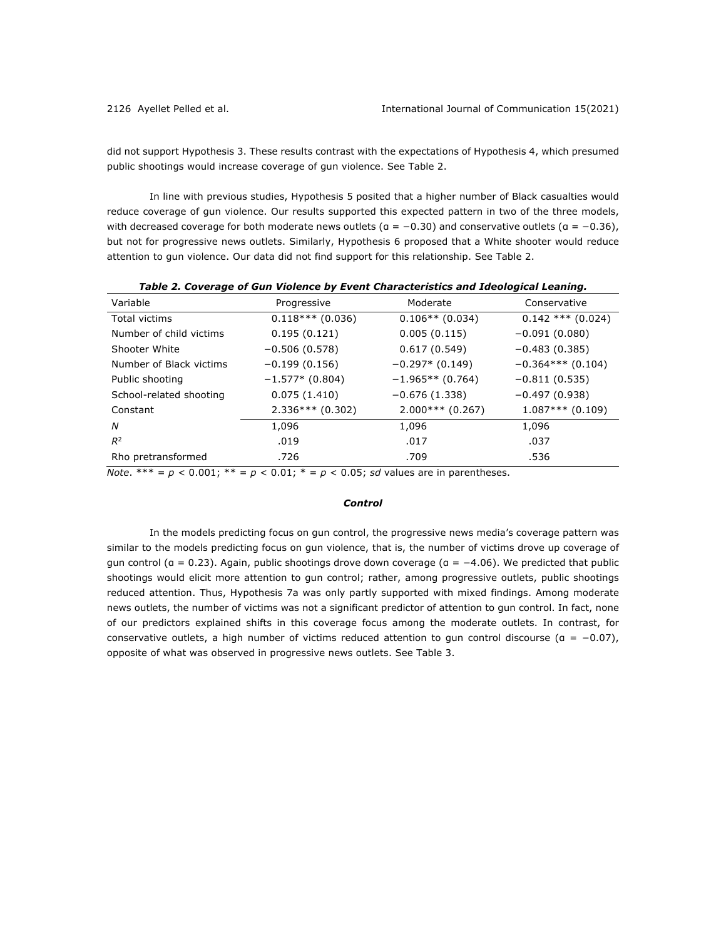did not support Hypothesis 3. These results contrast with the expectations of Hypothesis 4, which presumed public shootings would increase coverage of gun violence. See Table 2.

In line with previous studies, Hypothesis 5 posited that a higher number of Black casualties would reduce coverage of gun violence. Our results supported this expected pattern in two of the three models, with decreased coverage for both moderate news outlets ( $a = -0.30$ ) and conservative outlets ( $a = -0.36$ ), but not for progressive news outlets. Similarly, Hypothesis 6 proposed that a White shooter would reduce attention to gun violence. Our data did not find support for this relationship. See Table 2.

| Variable                | Progressive        | Moderate           | Conservative        |
|-------------------------|--------------------|--------------------|---------------------|
| Total victims           | $0.118***$ (0.036) | $0.106**$ (0.034)  | $0.142$ *** (0.024) |
| Number of child victims | 0.195(0.121)       | 0.005(0.115)       | $-0.091(0.080)$     |
| Shooter White           | $-0.506(0.578)$    | 0.617(0.549)       | $-0.483(0.385)$     |
| Number of Black victims | $-0.199(0.156)$    | $-0.297*$ (0.149)  | $-0.364***$ (0.104) |
| Public shooting         | $-1.577*$ (0.804)  | $-1.965**$ (0.764) | $-0.811(0.535)$     |
| School-related shooting | 0.075(1.410)       | $-0.676(1.338)$    | $-0.497(0.938)$     |
| Constant                | $2.336***$ (0.302) | $2.000***$ (0.267) | $1.087***$ (0.109)  |
| N                       | 1,096              | 1,096              | 1,096               |
| $R^2$                   | .019               | .017               | .037                |
| Rho pretransformed      | .726               | .709               | .536                |

*Table 2. Coverage of Gun Violence by Event Characteristics and Ideological Leaning.*

*Note*. \*\*\* =  $p$  < 0.001; \*\* =  $p$  < 0.01; \* =  $p$  < 0.05; *sd* values are in parentheses.

## *Control*

In the models predicting focus on gun control, the progressive news media's coverage pattern was similar to the models predicting focus on gun violence, that is, the number of victims drove up coverage of gun control ( $a = 0.23$ ). Again, public shootings drove down coverage ( $a = -4.06$ ). We predicted that public shootings would elicit more attention to gun control; rather, among progressive outlets, public shootings reduced attention. Thus, Hypothesis 7a was only partly supported with mixed findings. Among moderate news outlets, the number of victims was not a significant predictor of attention to gun control. In fact, none of our predictors explained shifts in this coverage focus among the moderate outlets. In contrast, for conservative outlets, a high number of victims reduced attention to gun control discourse ( $a = -0.07$ ), opposite of what was observed in progressive news outlets. See Table 3.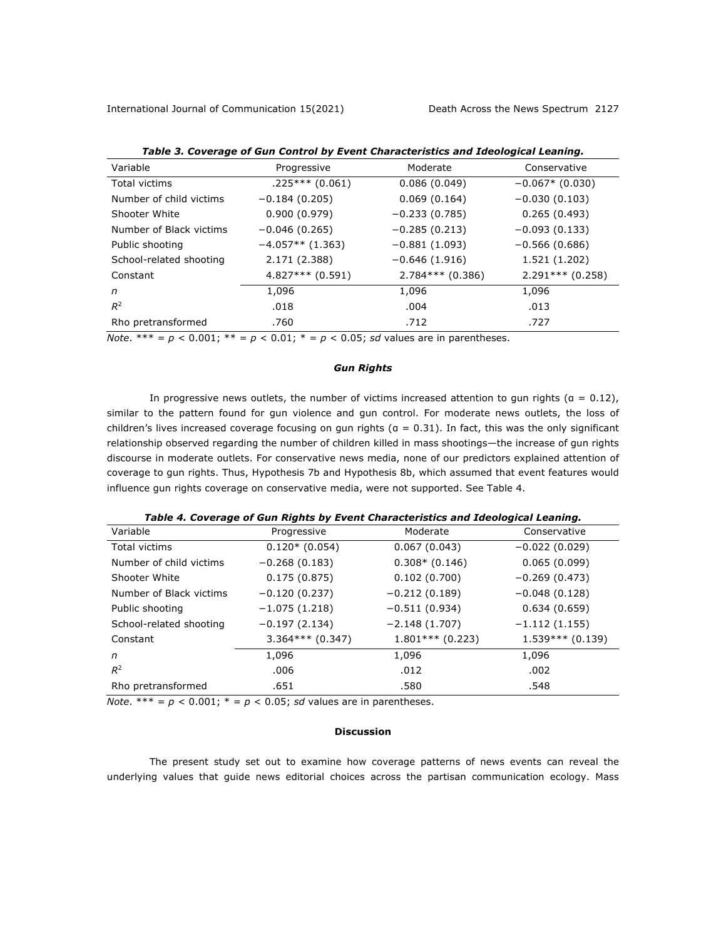| Variable                | Progressive        | Moderate           | Conservative       |
|-------------------------|--------------------|--------------------|--------------------|
| <b>Total victims</b>    | $.225***(0.061)$   | 0.086(0.049)       | $-0.067*$ (0.030)  |
| Number of child victims | $-0.184(0.205)$    | 0.069(0.164)       | $-0.030(0.103)$    |
| Shooter White           | 0.900(0.979)       | $-0.233(0.785)$    | 0.265(0.493)       |
| Number of Black victims | $-0.046(0.265)$    | $-0.285(0.213)$    | $-0.093(0.133)$    |
| Public shooting         | $-4.057**$ (1.363) | $-0.881(1.093)$    | $-0.566(0.686)$    |
| School-related shooting | 2.171 (2.388)      | $-0.646(1.916)$    | 1.521 (1.202)      |
| Constant                | $4.827***$ (0.591) | $2.784***$ (0.386) | $2.291***$ (0.258) |
| n                       | 1,096              | 1,096              | 1,096              |
| $R^2$                   | .018               | .004               | .013               |
| Rho pretransformed      | .760               | .712               | .727               |

|  | Table 3. Coverage of Gun Control by Event Characteristics and Ideological Leaning. |
|--|------------------------------------------------------------------------------------|
|  |                                                                                    |

*Note*. \*\*\* =  $p$  < 0.001; \*\* =  $p$  < 0.01; \* =  $p$  < 0.05; *sd* values are in parentheses.

## *Gun Rights*

In progressive news outlets, the number of victims increased attention to gun rights ( $a = 0.12$ ), similar to the pattern found for gun violence and gun control. For moderate news outlets, the loss of children's lives increased coverage focusing on gun rights ( $a = 0.31$ ). In fact, this was the only significant relationship observed regarding the number of children killed in mass shootings—the increase of gun rights discourse in moderate outlets. For conservative news media, none of our predictors explained attention of coverage to gun rights. Thus, Hypothesis 7b and Hypothesis 8b, which assumed that event features would influence gun rights coverage on conservative media, were not supported. See Table 4.

|  | Table 4. Coverage of Gun Rights by Event Characteristics and Ideological Leaning. |  |
|--|-----------------------------------------------------------------------------------|--|
|--|-----------------------------------------------------------------------------------|--|

| Variable                | Progressive        | Moderate           | Conservative       |
|-------------------------|--------------------|--------------------|--------------------|
| Total victims           | $0.120*(0.054)$    | 0.067(0.043)       | $-0.022(0.029)$    |
| Number of child victims | $-0.268(0.183)$    | $0.308*(0.146)$    | 0.065(0.099)       |
| Shooter White           | 0.175(0.875)       | 0.102(0.700)       | $-0.269(0.473)$    |
| Number of Black victims | $-0.120(0.237)$    | $-0.212(0.189)$    | $-0.048(0.128)$    |
| Public shooting         | $-1.075(1.218)$    | $-0.511(0.934)$    | 0.634(0.659)       |
| School-related shooting | $-0.197(2.134)$    | $-2.148(1.707)$    | $-1.112(1.155)$    |
| Constant                | $3.364***$ (0.347) | $1.801***$ (0.223) | $1.539***$ (0.139) |
| n                       | 1,096              | 1,096              | 1,096              |
| $R^2$                   | .006               | .012               | .002               |
| Rho pretransformed      | .651               | .580               | .548               |

*Note*. \*\*\* =  $p$  < 0.001; \* =  $p$  < 0.05; *sd* values are in parentheses.

## **Discussion**

The present study set out to examine how coverage patterns of news events can reveal the underlying values that guide news editorial choices across the partisan communication ecology. Mass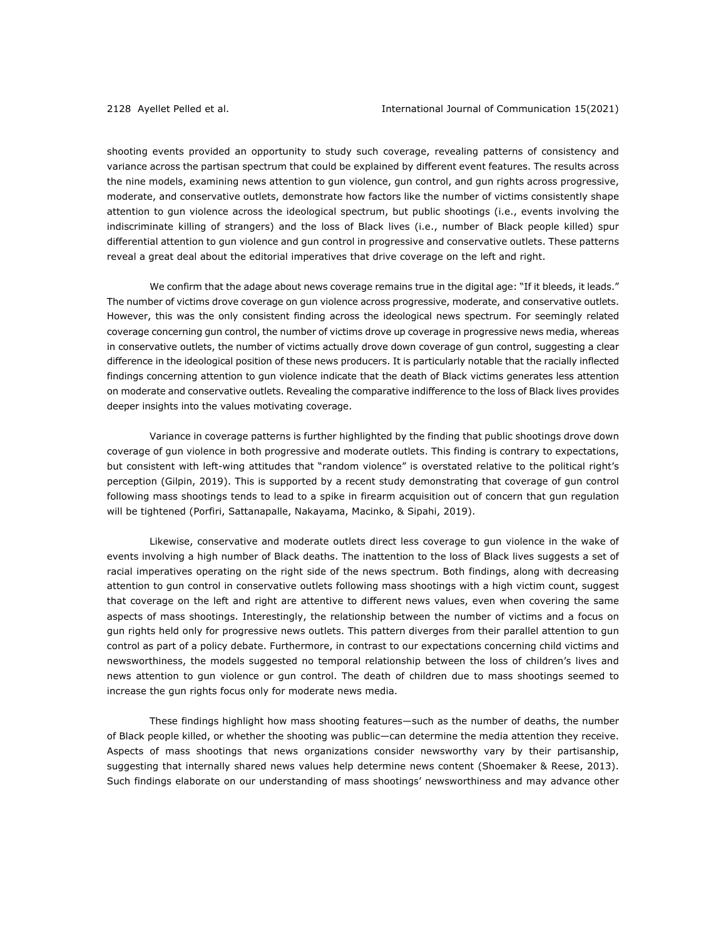shooting events provided an opportunity to study such coverage, revealing patterns of consistency and variance across the partisan spectrum that could be explained by different event features. The results across the nine models, examining news attention to gun violence, gun control, and gun rights across progressive, moderate, and conservative outlets, demonstrate how factors like the number of victims consistently shape attention to gun violence across the ideological spectrum, but public shootings (i.e., events involving the indiscriminate killing of strangers) and the loss of Black lives (i.e., number of Black people killed) spur differential attention to gun violence and gun control in progressive and conservative outlets. These patterns reveal a great deal about the editorial imperatives that drive coverage on the left and right.

We confirm that the adage about news coverage remains true in the digital age: "If it bleeds, it leads." The number of victims drove coverage on gun violence across progressive, moderate, and conservative outlets. However, this was the only consistent finding across the ideological news spectrum. For seemingly related coverage concerning gun control, the number of victims drove up coverage in progressive news media, whereas in conservative outlets, the number of victims actually drove down coverage of gun control, suggesting a clear difference in the ideological position of these news producers. It is particularly notable that the racially inflected findings concerning attention to gun violence indicate that the death of Black victims generates less attention on moderate and conservative outlets. Revealing the comparative indifference to the loss of Black lives provides deeper insights into the values motivating coverage.

Variance in coverage patterns is further highlighted by the finding that public shootings drove down coverage of gun violence in both progressive and moderate outlets. This finding is contrary to expectations, but consistent with left-wing attitudes that "random violence" is overstated relative to the political right's perception (Gilpin, 2019). This is supported by a recent study demonstrating that coverage of gun control following mass shootings tends to lead to a spike in firearm acquisition out of concern that gun regulation will be tightened (Porfiri, Sattanapalle, Nakayama, Macinko, & Sipahi, 2019).

Likewise, conservative and moderate outlets direct less coverage to gun violence in the wake of events involving a high number of Black deaths. The inattention to the loss of Black lives suggests a set of racial imperatives operating on the right side of the news spectrum. Both findings, along with decreasing attention to gun control in conservative outlets following mass shootings with a high victim count, suggest that coverage on the left and right are attentive to different news values, even when covering the same aspects of mass shootings. Interestingly, the relationship between the number of victims and a focus on gun rights held only for progressive news outlets. This pattern diverges from their parallel attention to gun control as part of a policy debate. Furthermore, in contrast to our expectations concerning child victims and newsworthiness, the models suggested no temporal relationship between the loss of children's lives and news attention to gun violence or gun control. The death of children due to mass shootings seemed to increase the gun rights focus only for moderate news media.

These findings highlight how mass shooting features—such as the number of deaths, the number of Black people killed, or whether the shooting was public—can determine the media attention they receive. Aspects of mass shootings that news organizations consider newsworthy vary by their partisanship, suggesting that internally shared news values help determine news content (Shoemaker & Reese, 2013). Such findings elaborate on our understanding of mass shootings' newsworthiness and may advance other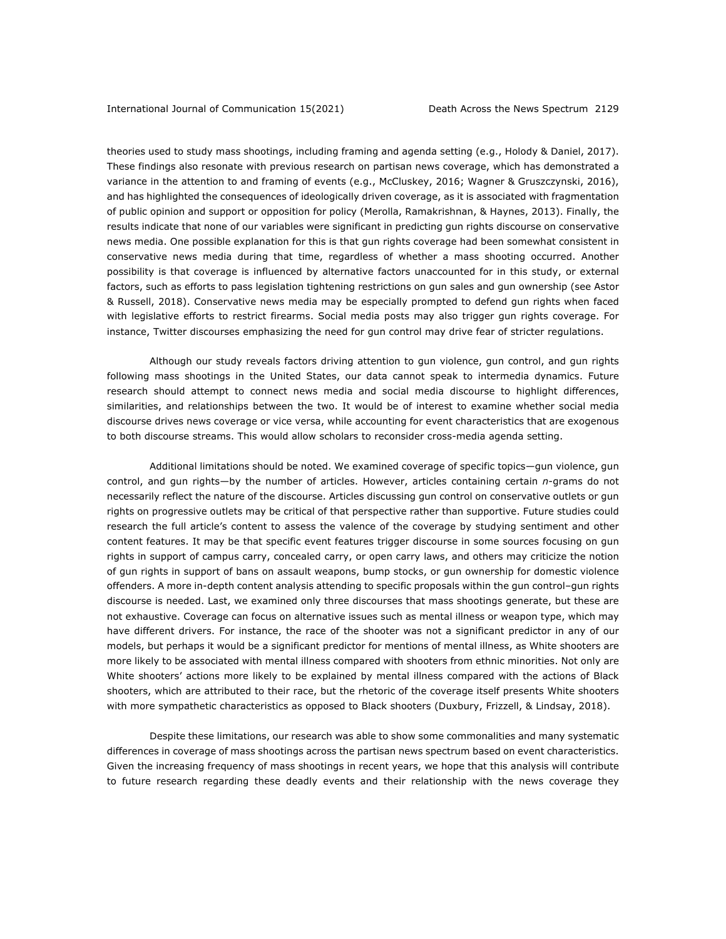theories used to study mass shootings, including framing and agenda setting (e.g., Holody & Daniel, 2017). These findings also resonate with previous research on partisan news coverage, which has demonstrated a variance in the attention to and framing of events (e.g., McCluskey, 2016; Wagner & Gruszczynski, 2016), and has highlighted the consequences of ideologically driven coverage, as it is associated with fragmentation of public opinion and support or opposition for policy (Merolla, Ramakrishnan, & Haynes, 2013). Finally, the results indicate that none of our variables were significant in predicting gun rights discourse on conservative news media. One possible explanation for this is that gun rights coverage had been somewhat consistent in conservative news media during that time, regardless of whether a mass shooting occurred. Another possibility is that coverage is influenced by alternative factors unaccounted for in this study, or external factors, such as efforts to pass legislation tightening restrictions on gun sales and gun ownership (see Astor & Russell, 2018). Conservative news media may be especially prompted to defend gun rights when faced with legislative efforts to restrict firearms. Social media posts may also trigger gun rights coverage. For instance, Twitter discourses emphasizing the need for gun control may drive fear of stricter regulations.

Although our study reveals factors driving attention to gun violence, gun control, and gun rights following mass shootings in the United States, our data cannot speak to intermedia dynamics. Future research should attempt to connect news media and social media discourse to highlight differences, similarities, and relationships between the two. It would be of interest to examine whether social media discourse drives news coverage or vice versa, while accounting for event characteristics that are exogenous to both discourse streams. This would allow scholars to reconsider cross-media agenda setting.

Additional limitations should be noted. We examined coverage of specific topics—gun violence, gun control, and gun rights—by the number of articles. However, articles containing certain *n*-grams do not necessarily reflect the nature of the discourse. Articles discussing gun control on conservative outlets or gun rights on progressive outlets may be critical of that perspective rather than supportive. Future studies could research the full article's content to assess the valence of the coverage by studying sentiment and other content features. It may be that specific event features trigger discourse in some sources focusing on gun rights in support of campus carry, concealed carry, or open carry laws, and others may criticize the notion of gun rights in support of bans on assault weapons, bump stocks, or gun ownership for domestic violence offenders. A more in-depth content analysis attending to specific proposals within the gun control–gun rights discourse is needed. Last, we examined only three discourses that mass shootings generate, but these are not exhaustive. Coverage can focus on alternative issues such as mental illness or weapon type, which may have different drivers. For instance, the race of the shooter was not a significant predictor in any of our models, but perhaps it would be a significant predictor for mentions of mental illness, as White shooters are more likely to be associated with mental illness compared with shooters from ethnic minorities. Not only are White shooters' actions more likely to be explained by mental illness compared with the actions of Black shooters, which are attributed to their race, but the rhetoric of the coverage itself presents White shooters with more sympathetic characteristics as opposed to Black shooters (Duxbury, Frizzell, & Lindsay, 2018).

Despite these limitations, our research was able to show some commonalities and many systematic differences in coverage of mass shootings across the partisan news spectrum based on event characteristics. Given the increasing frequency of mass shootings in recent years, we hope that this analysis will contribute to future research regarding these deadly events and their relationship with the news coverage they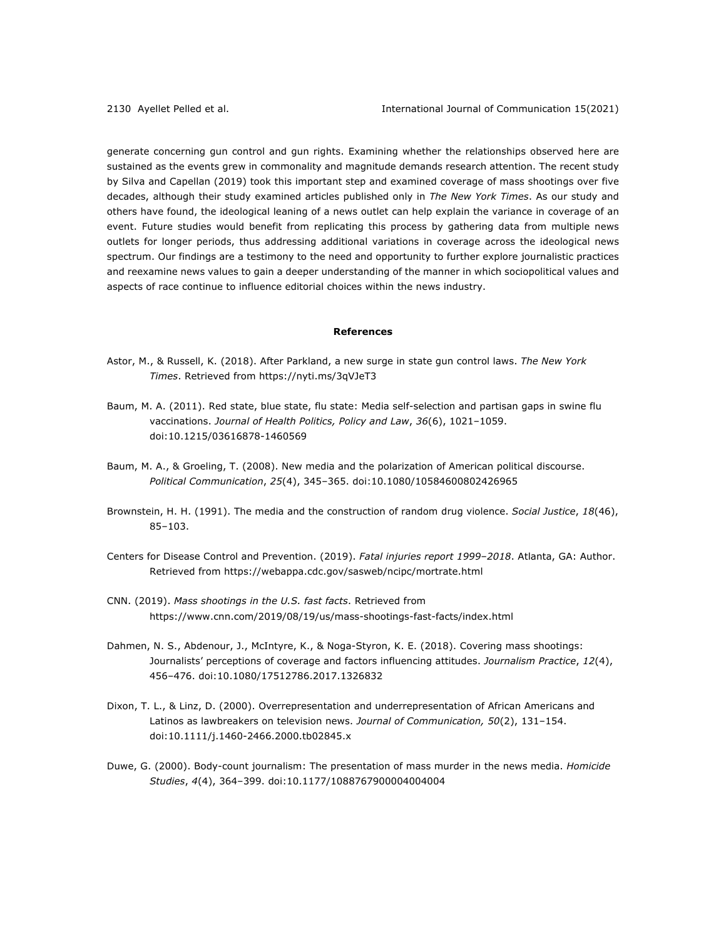generate concerning gun control and gun rights. Examining whether the relationships observed here are sustained as the events grew in commonality and magnitude demands research attention. The recent study by Silva and Capellan (2019) took this important step and examined coverage of mass shootings over five decades, although their study examined articles published only in *The New York Times*. As our study and others have found, the ideological leaning of a news outlet can help explain the variance in coverage of an event. Future studies would benefit from replicating this process by gathering data from multiple news outlets for longer periods, thus addressing additional variations in coverage across the ideological news spectrum. Our findings are a testimony to the need and opportunity to further explore journalistic practices and reexamine news values to gain a deeper understanding of the manner in which sociopolitical values and aspects of race continue to influence editorial choices within the news industry.

#### **References**

- Astor, M., & Russell, K. (2018). After Parkland, a new surge in state gun control laws. *The New York Times*. Retrieved from https://nyti.ms/3qVJeT3
- Baum, M. A. (2011). Red state, blue state, flu state: Media self-selection and partisan gaps in swine flu vaccinations. *Journal of Health Politics, Policy and Law*, *36*(6), 1021–1059. doi:10.1215/03616878-1460569
- Baum, M. A., & Groeling, T. (2008). New media and the polarization of American political discourse. *Political Communication*, *25*(4), 345–365. doi:10.1080/10584600802426965
- Brownstein, H. H. (1991). The media and the construction of random drug violence. *Social Justice*, *18*(46), 85–103.
- Centers for Disease Control and Prevention. (2019). *Fatal injuries report 1999–2018*. Atlanta, GA: Author. Retrieved from https://webappa.cdc.gov/sasweb/ncipc/mortrate.html
- CNN. (2019). *Mass shootings in the U.S. fast facts*. Retrieved from https://www.cnn.com/2019/08/19/us/mass-shootings-fast-facts/index.html
- Dahmen, N. S., Abdenour, J., McIntyre, K., & Noga-Styron, K. E. (2018). Covering mass shootings: Journalists' perceptions of coverage and factors influencing attitudes. *Journalism Practice*, *12*(4), 456–476. doi:10.1080/17512786.2017.1326832
- Dixon, T. L., & Linz, D. (2000). Overrepresentation and underrepresentation of African Americans and Latinos as lawbreakers on television news. *Journal of Communication, 50*(2), 131–154. doi:10.1111/j.1460-2466.2000.tb02845.x
- Duwe, G. (2000). Body-count journalism: The presentation of mass murder in the news media. *Homicide Studies*, *4*(4), 364–399. doi:10.1177/1088767900004004004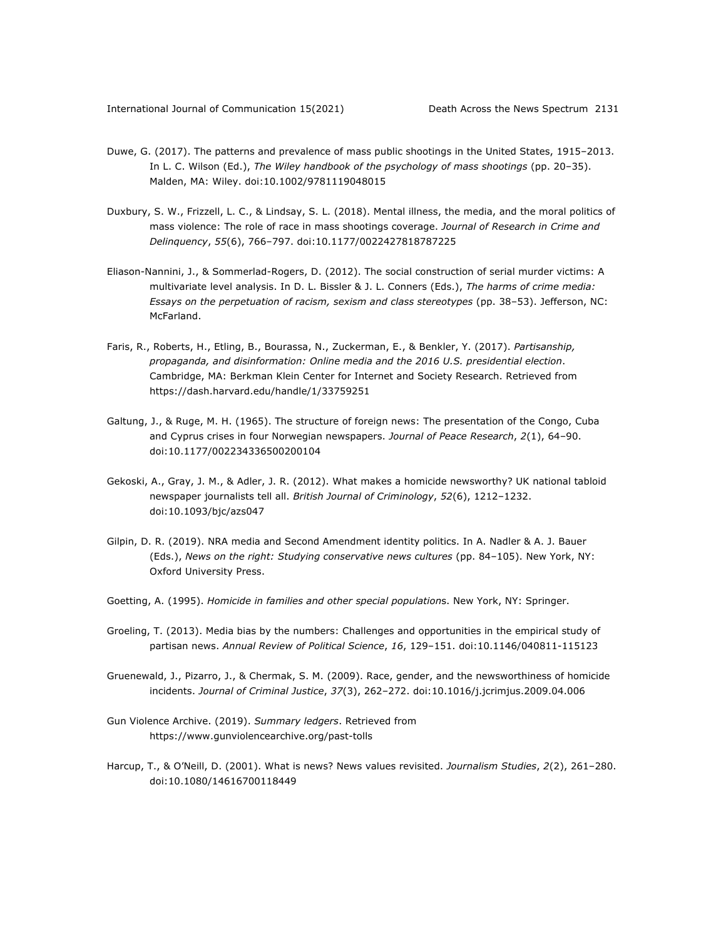- Duwe, G. (2017). The patterns and prevalence of mass public shootings in the United States, 1915–2013. In L. C. Wilson (Ed.), *The Wiley handbook of the psychology of mass shootings* (pp. 20–35). Malden, MA: Wiley. doi:10.1002/9781119048015
- Duxbury, S. W., Frizzell, L. C., & Lindsay, S. L. (2018). Mental illness, the media, and the moral politics of mass violence: The role of race in mass shootings coverage. *Journal of Research in Crime and Delinquency*, *55*(6), 766–797. doi:10.1177/0022427818787225
- Eliason-Nannini, J., & Sommerlad-Rogers, D. (2012). The social construction of serial murder victims: A multivariate level analysis. In D. L. Bissler & J. L. Conners (Eds.), *The harms of crime media: Essays on the perpetuation of racism, sexism and class stereotypes* (pp. 38–53). Jefferson, NC: McFarland.
- Faris, R., Roberts, H., Etling, B., Bourassa, N., Zuckerman, E., & Benkler, Y. (2017). *Partisanship, propaganda, and disinformation: Online media and the 2016 U.S. presidential election*. Cambridge, MA: Berkman Klein Center for Internet and Society Research. Retrieved from https://dash.harvard.edu/handle/1/33759251
- Galtung, J., & Ruge, M. H. (1965). The structure of foreign news: The presentation of the Congo, Cuba and Cyprus crises in four Norwegian newspapers. *Journal of Peace Research*, *2*(1), 64–90. doi:10.1177/002234336500200104
- Gekoski, A., Gray, J. M., & Adler, J. R. (2012). What makes a homicide newsworthy? UK national tabloid newspaper journalists tell all. *British Journal of Criminology*, *52*(6), 1212–1232. doi:10.1093/bjc/azs047
- Gilpin, D. R. (2019). NRA media and Second Amendment identity politics. In A. Nadler & A. J. Bauer (Eds.), *News on the right: Studying conservative news cultures* (pp. 84–105). New York, NY: Oxford University Press.
- Goetting, A. (1995). *Homicide in families and other special population*s. New York, NY: Springer.
- Groeling, T. (2013). Media bias by the numbers: Challenges and opportunities in the empirical study of partisan news. *Annual Review of Political Science*, *16*, 129–151. doi:10.1146/040811-115123
- Gruenewald, J., Pizarro, J., & Chermak, S. M. (2009). Race, gender, and the newsworthiness of homicide incidents. *Journal of Criminal Justice*, *37*(3), 262–272. doi:10.1016/j.jcrimjus.2009.04.006
- Gun Violence Archive. (2019). *Summary ledgers*. Retrieved from https://www.gunviolencearchive.org/past-tolls
- Harcup, T., & O'Neill, D. (2001). What is news? News values revisited. *Journalism Studies*, *2*(2), 261–280. doi:10.1080/14616700118449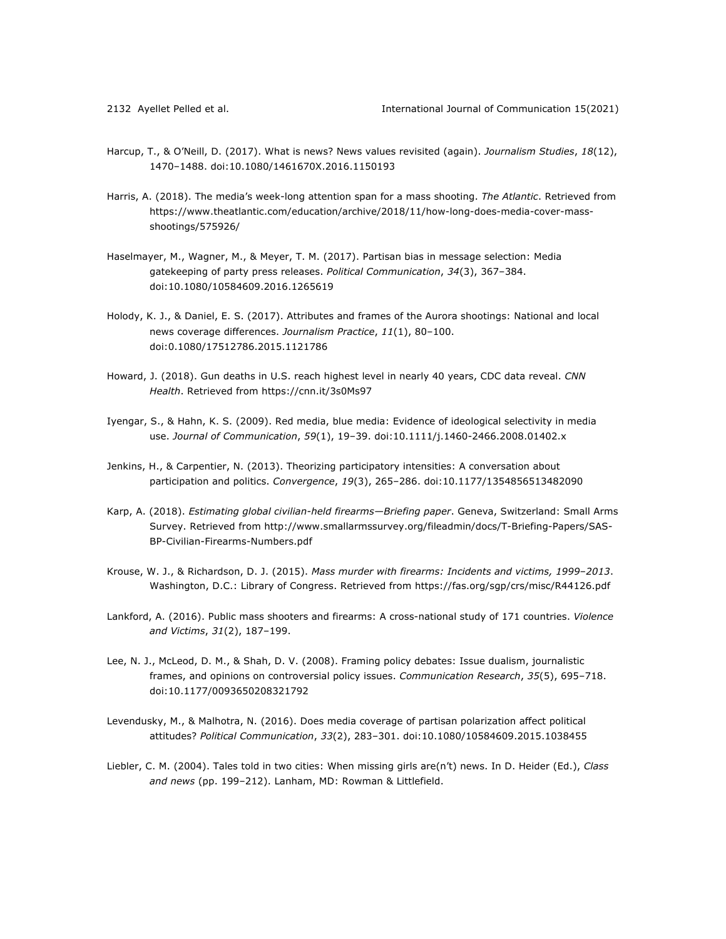- Harcup, T., & O'Neill, D. (2017). What is news? News values revisited (again). *Journalism Studies*, *18*(12), 1470–1488. doi:10.1080/1461670X.2016.1150193
- Harris, A. (2018). The media's week-long attention span for a mass shooting. *The Atlantic*. Retrieved from https://www.theatlantic.com/education/archive/2018/11/how-long-does-media-cover-massshootings/575926/
- Haselmayer, M., Wagner, M., & Meyer, T. M. (2017). Partisan bias in message selection: Media gatekeeping of party press releases. *Political Communication*, *34*(3), 367–384. doi:10.1080/10584609.2016.1265619
- Holody, K. J., & Daniel, E. S. (2017). Attributes and frames of the Aurora shootings: National and local news coverage differences. *Journalism Practice*, *11*(1), 80–100. doi:0.1080/17512786.2015.1121786
- Howard, J. (2018). Gun deaths in U.S. reach highest level in nearly 40 years, CDC data reveal. *CNN Health*. Retrieved from https://cnn.it/3s0Ms97
- Iyengar, S., & Hahn, K. S. (2009). Red media, blue media: Evidence of ideological selectivity in media use. *Journal of Communication*, *59*(1), 19–39. doi:10.1111/j.1460-2466.2008.01402.x
- Jenkins, H., & Carpentier, N. (2013). Theorizing participatory intensities: A conversation about participation and politics. *Convergence*, *19*(3), 265–286. doi:10.1177/1354856513482090
- Karp, A. (2018). *Estimating global civilian-held firearms—Briefing paper*. Geneva, Switzerland: Small Arms Survey. Retrieved from http://www.smallarmssurvey.org/fileadmin/docs/T-Briefing-Papers/SAS-BP-Civilian-Firearms-Numbers.pdf
- Krouse, W. J., & Richardson, D. J. (2015). *Mass murder with firearms: Incidents and victims, 1999*–*2013*. Washington, D.C.: Library of Congress. Retrieved from https://fas.org/sgp/crs/misc/R44126.pdf
- Lankford, A. (2016). Public mass shooters and firearms: A cross-national study of 171 countries. *Violence and Victims*, *31*(2), 187–199.
- Lee, N. J., McLeod, D. M., & Shah, D. V. (2008). Framing policy debates: Issue dualism, journalistic frames, and opinions on controversial policy issues. *Communication Research*, *35*(5), 695–718. doi:10.1177/0093650208321792
- Levendusky, M., & Malhotra, N. (2016). Does media coverage of partisan polarization affect political attitudes? *Political Communication*, *33*(2), 283–301. doi:10.1080/10584609.2015.1038455
- Liebler, C. M. (2004). Tales told in two cities: When missing girls are(n't) news. In D. Heider (Ed.), *Class and news* (pp. 199–212). Lanham, MD: Rowman & Littlefield.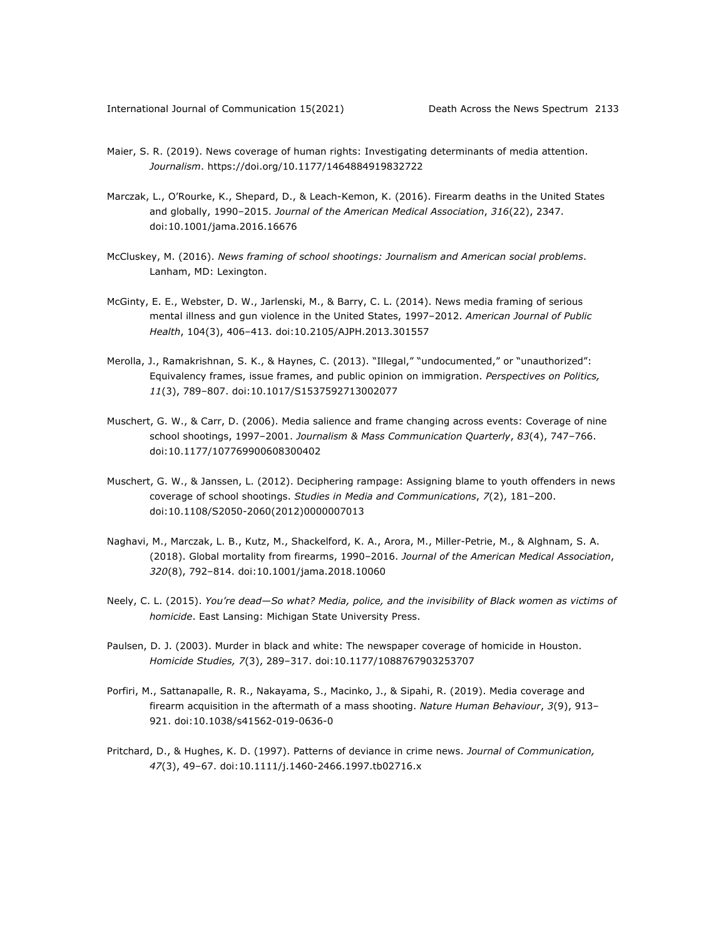- Maier, S. R. (2019). News coverage of human rights: Investigating determinants of media attention. *Journalism*. https://doi.org/10.1177/1464884919832722
- Marczak, L., O'Rourke, K., Shepard, D., & Leach-Kemon, K. (2016). Firearm deaths in the United States and globally, 1990–2015. *Journal of the American Medical Association*, *316*(22), 2347. doi:10.1001/jama.2016.16676
- McCluskey, M. (2016). *News framing of school shootings: Journalism and American social problems*. Lanham, MD: Lexington.
- McGinty, E. E., Webster, D. W., Jarlenski, M., & Barry, C. L. (2014). News media framing of serious mental illness and gun violence in the United States, 1997–2012. *American Journal of Public Health*, 104(3), 406–413. doi:10.2105/AJPH.2013.301557
- Merolla, J., Ramakrishnan, S. K., & Haynes, C. (2013). "Illegal," "undocumented," or "unauthorized": Equivalency frames, issue frames, and public opinion on immigration. *Perspectives on Politics, 11*(3), 789–807. doi:10.1017/S1537592713002077
- Muschert, G. W., & Carr, D. (2006). Media salience and frame changing across events: Coverage of nine school shootings, 1997–2001. *Journalism & Mass Communication Quarterly*, *83*(4), 747–766. doi:10.1177/107769900608300402
- Muschert, G. W., & Janssen, L. (2012). Deciphering rampage: Assigning blame to youth offenders in news coverage of school shootings. *Studies in Media and Communications*, *7*(2), 181–200. doi:10.1108/S2050-2060(2012)0000007013
- Naghavi, M., Marczak, L. B., Kutz, M., Shackelford, K. A., Arora, M., Miller-Petrie, M., & Alghnam, S. A. (2018). Global mortality from firearms, 1990–2016. *Journal of the American Medical Association*, *320*(8), 792–814. doi:10.1001/jama.2018.10060
- Neely, C. L. (2015). *You're dead—So what? Media, police, and the invisibility of Black women as victims of homicide*. East Lansing: Michigan State University Press.
- Paulsen, D. J. (2003). Murder in black and white: The newspaper coverage of homicide in Houston. *Homicide Studies, 7*(3), 289–317. doi:10.1177/1088767903253707
- Porfiri, M., Sattanapalle, R. R., Nakayama, S., Macinko, J., & Sipahi, R. (2019). Media coverage and firearm acquisition in the aftermath of a mass shooting. *Nature Human Behaviour*, *3*(9), 913– 921. doi:10.1038/s41562-019-0636-0
- Pritchard, D., & Hughes, K. D. (1997). Patterns of deviance in crime news. *Journal of Communication, 47*(3), 49–67. doi:10.1111/j.1460-2466.1997.tb02716.x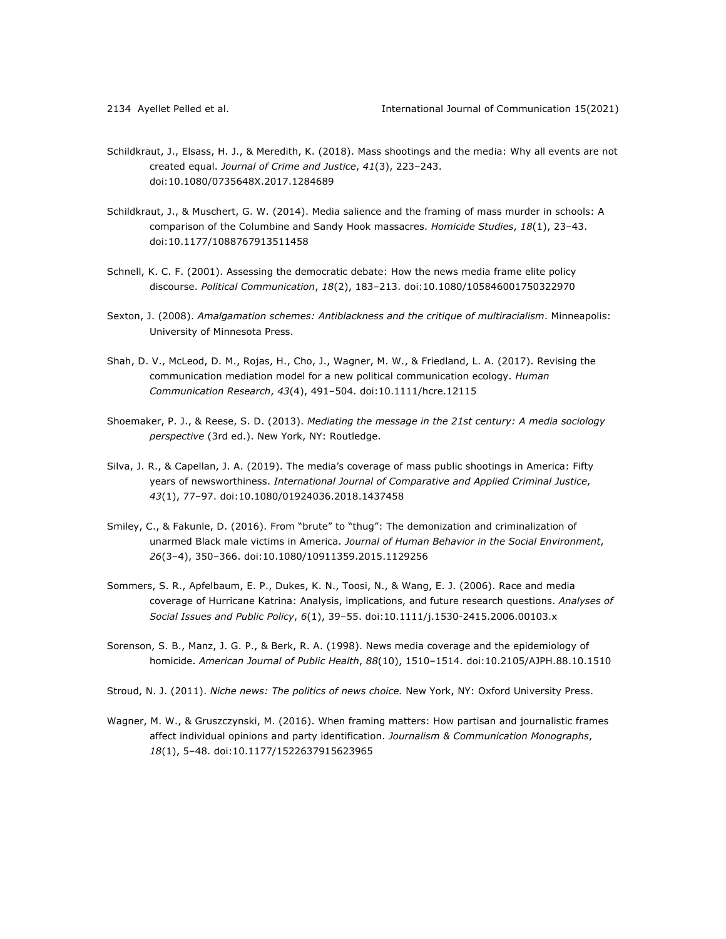- Schildkraut, J., Elsass, H. J., & Meredith, K. (2018). Mass shootings and the media: Why all events are not created equal. *Journal of Crime and Justice*, *41*(3), 223–243. doi:10.1080/0735648X.2017.1284689
- Schildkraut, J., & Muschert, G. W. (2014). Media salience and the framing of mass murder in schools: A comparison of the Columbine and Sandy Hook massacres. *Homicide Studies*, *18*(1), 23–43. doi:10.1177/1088767913511458
- Schnell, K. C. F. (2001). Assessing the democratic debate: How the news media frame elite policy discourse. *Political Communication*, *18*(2), 183–213. doi:10.1080/105846001750322970
- Sexton, J. (2008). *Amalgamation schemes: Antiblackness and the critique of multiracialism*. Minneapolis: University of Minnesota Press.
- Shah, D. V., McLeod, D. M., Rojas, H., Cho, J., Wagner, M. W., & Friedland, L. A. (2017). Revising the communication mediation model for a new political communication ecology. *Human Communication Research*, *43*(4), 491–504. doi:10.1111/hcre.12115
- Shoemaker, P. J., & Reese, S. D. (2013). *Mediating the message in the 21st century: A media sociology perspective* (3rd ed.). New York, NY: Routledge.
- Silva, J. R., & Capellan, J. A. (2019). The media's coverage of mass public shootings in America: Fifty years of newsworthiness. *International Journal of Comparative and Applied Criminal Justice*, *43*(1), 77–97. doi:10.1080/01924036.2018.1437458
- Smiley, C., & Fakunle, D. (2016). From "brute" to "thug": The demonization and criminalization of unarmed Black male victims in America. *Journal of Human Behavior in the Social Environment*, *26*(3–4), 350–366. doi:10.1080/10911359.2015.1129256
- Sommers, S. R., Apfelbaum, E. P., Dukes, K. N., Toosi, N., & Wang, E. J. (2006). Race and media coverage of Hurricane Katrina: Analysis, implications, and future research questions. *Analyses of Social Issues and Public Policy*, *6*(1), 39–55. doi:10.1111/j.1530-2415.2006.00103.x
- Sorenson, S. B., Manz, J. G. P., & Berk, R. A. (1998). News media coverage and the epidemiology of homicide. *American Journal of Public Health*, *88*(10), 1510–1514. doi:10.2105/AJPH.88.10.1510
- Stroud, N. J. (2011). *Niche news: The politics of news choice.* New York, NY: Oxford University Press.
- Wagner, M. W., & Gruszczynski, M. (2016). When framing matters: How partisan and journalistic frames affect individual opinions and party identification. *Journalism & Communication Monographs*, *18*(1), 5–48. doi:10.1177/1522637915623965